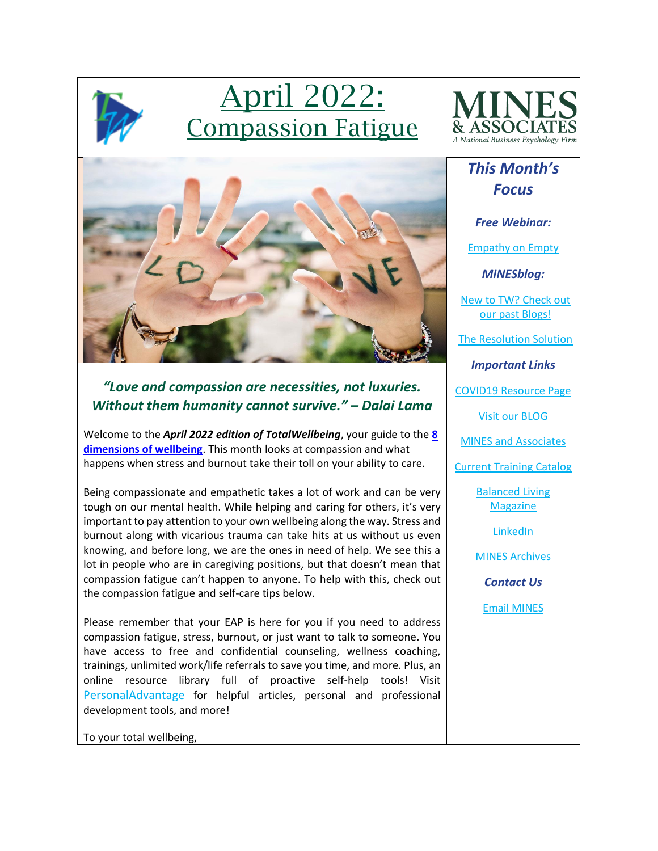

# April 2022: Compassion Fatigue



## *This Month's Focus*

*Free Webinar:*

[Empathy on Empty](https://mines.personaladvantage.com/section.jsp?module=section_100)

*MINESblog:*

[New to TW? Check out](https://minesblog.wordpress.com/)  [our past Blogs!](https://minesblog.wordpress.com/)

[The Resolution Solution](https://minesblog.wordpress.com/2022/01/20/the-resolution-solution/)

*Important Links*

[COVID19 Resource Page](http://www.minesandassociates.com/Covid19_resources.html)

[Visit our BLOG](http://minesblog.wordpress.com/)

[MINES and Associates](http://www.minesandassociates.com/)

[Current Training Catalog](http://www.minesandassociates.com/Training_Main.html)

[Balanced Living](http://www.minesandassociates.com/newsletters.html)  **[Magazine](http://www.minesandassociates.com/newsletters.html)** 

**[LinkedIn](https://www.linkedin.com/company/mines-and-associates)** 

[MINES Archives](http://www.minesandassociates.com/newsletters.html)

*Contact Us*

[Email MINES](mailto:communications@MINESandAssociates.com)



### *"Love and compassion are necessities, not luxuries. Without them humanity cannot survive." – Dalai Lama*

Welcome to the *April 2022 edition of TotalWellbeing*, your guide to the **[8](https://www.youtube.com/watch?v=tDzQdRvLAfM)  [dimensions of wellbeing](https://www.youtube.com/watch?v=tDzQdRvLAfM)**. This month looks at compassion and what happens when stress and burnout take their toll on your ability to care.

Being compassionate and empathetic takes a lot of work and can be very tough on our mental health. While helping and caring for others, it's very important to pay attention to your own wellbeing along the way. Stress and burnout along with vicarious trauma can take hits at us without us even knowing, and before long, we are the ones in need of help. We see this a lot in people who are in caregiving positions, but that doesn't mean that compassion fatigue can't happen to anyone. To help with this, check out the compassion fatigue and self-care tips below.

Please remember that your EAP is here for you if you need to address compassion fatigue, stress, burnout, or just want to talk to someone. You have access to free and confidential counseling, wellness coaching, trainings, unlimited work/life referrals to save you time, and more. Plus, an online resource library full of proactive self-help tools! Visit [PersonalAdvantage](https://mines.personaladvantage.com/) for helpful articles, personal and professional development tools, and more!

To your total wellbeing,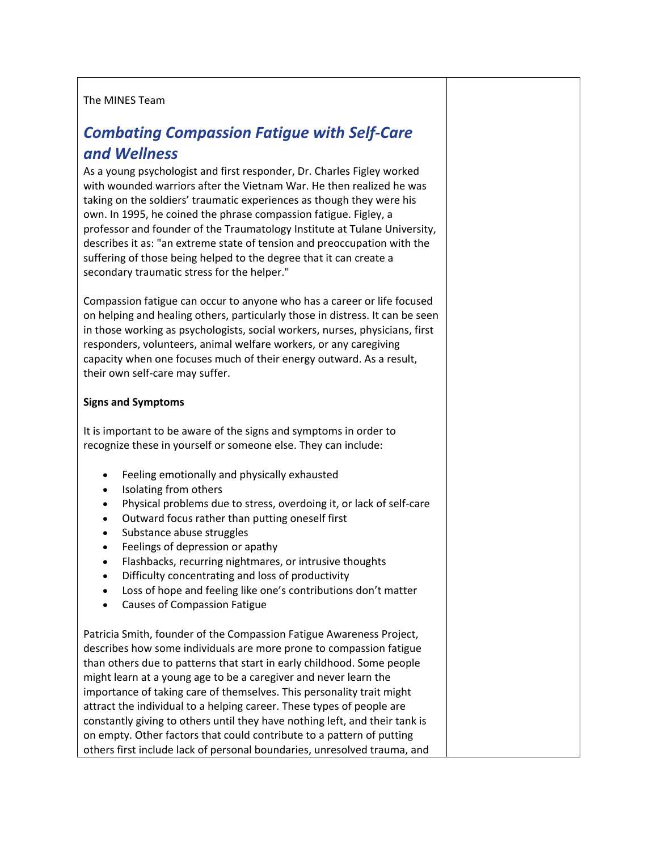#### The MINES Team

### *Combating Compassion Fatigue with Self-Care and Wellness*

As a young psychologist and first responder, Dr. Charles Figley worked with wounded warriors after the Vietnam War. He then realized he was taking on the soldiers' traumatic experiences as though they were his own. In 1995, he coined the phrase compassion fatigue. Figley, a professor and founder of the Traumatology Institute at Tulane University, describes it as: "an extreme state of tension and preoccupation with the suffering of those being helped to the degree that it can create a secondary traumatic stress for the helper."

Compassion fatigue can occur to anyone who has a career or life focused on helping and healing others, particularly those in distress. It can be seen in those working as psychologists, social workers, nurses, physicians, first responders, volunteers, animal welfare workers, or any caregiving capacity when one focuses much of their energy outward. As a result, their own self-care may suffer.

#### **Signs and Symptoms**

It is important to be aware of the signs and symptoms in order to recognize these in yourself or someone else. They can include:

- Feeling emotionally and physically exhausted
- Isolating from others
- Physical problems due to stress, overdoing it, or lack of self-care
- Outward focus rather than putting oneself first
- Substance abuse struggles
- Feelings of depression or apathy
- Flashbacks, recurring nightmares, or intrusive thoughts
- Difficulty concentrating and loss of productivity
- Loss of hope and feeling like one's contributions don't matter
- Causes of Compassion Fatigue

Patricia Smith, founder of the Compassion Fatigue Awareness Project, describes how some individuals are more prone to compassion fatigue than others due to patterns that start in early childhood. Some people might learn at a young age to be a caregiver and never learn the importance of taking care of themselves. This personality trait might attract the individual to a helping career. These types of people are constantly giving to others until they have nothing left, and their tank is on empty. Other factors that could contribute to a pattern of putting others first include lack of personal boundaries, unresolved trauma, and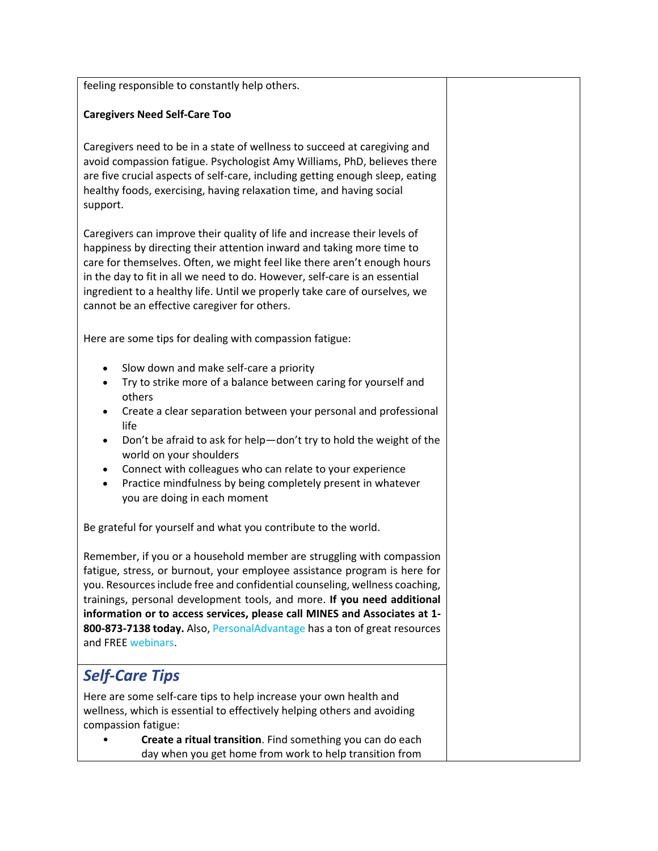feeling responsible to constantly help others.

#### **Caregivers Need Self-Care Too**

Caregivers need to be in a state of wellness to succeed at caregiving and avoid compassion fatigue. Psychologist Amy Williams, PhD, believes there are five crucial aspects of self-care, including getting enough sleep, eating healthy foods, exercising, having relaxation time, and having social support.

Caregivers can improve their quality of life and increase their levels of happiness by directing their attention inward and taking more time to care for themselves. Often, we might feel like there aren't enough hours in the day to fit in all we need to do. However, self-care is an essential ingredient to a healthy life. Until we properly take care of ourselves, we cannot be an effective caregiver for others.

Here are some tips for dealing with compassion fatigue:

- Slow down and make self-care a priority
- Try to strike more of a balance between caring for yourself and others
- Create a clear separation between your personal and professional life
- Don't be afraid to ask for help—don't try to hold the weight of the world on your shoulders
- Connect with colleagues who can relate to your experience
- Practice mindfulness by being completely present in whatever you are doing in each moment

Be grateful for yourself and what you contribute to the world.

Remember, if you or a household member are struggling with compassion fatigue, stress, or burnout, your employee assistance program is here for you. Resources include free and confidential counseling, wellness coaching, trainings, personal development tools, and more. **If you need additional information or to access services, please call MINES and Associates at 1- 800-873-7138 today.** Also, [PersonalAdvantage](https://mines.personaladvantage.com/) has a ton of great resources and FREE [webinars.](https://mines.personaladvantage.com/section.jsp?module=section_100)

### *Self-Care Tips*

Here are some self-care tips to help increase your own health and wellness, which is essential to effectively helping others and avoiding compassion fatigue:

• **Create a ritual transition**. Find something you can do each day when you get home from work to help transition from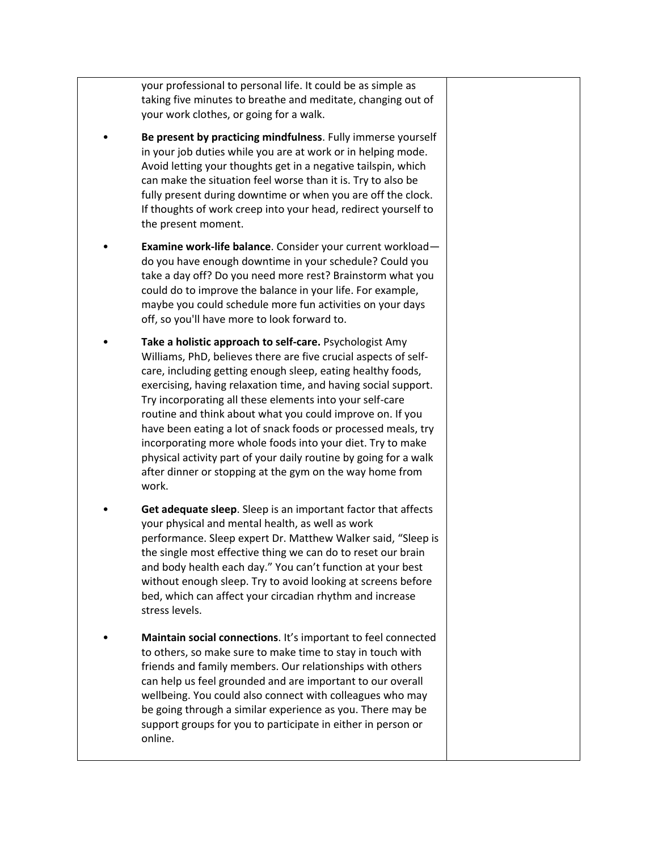your professional to personal life. It could be as simple as taking five minutes to breathe and meditate, changing out of your work clothes, or going for a walk.

- **Be present by practicing mindfulness**. Fully immerse yourself in your job duties while you are at work or in helping mode. Avoid letting your thoughts get in a negative tailspin, which can make the situation feel worse than it is. Try to also be fully present during downtime or when you are off the clock. If thoughts of work creep into your head, redirect yourself to the present moment.
- **Examine work-life balance**. Consider your current workload do you have enough downtime in your schedule? Could you take a day off? Do you need more rest? Brainstorm what you could do to improve the balance in your life. For example, maybe you could schedule more fun activities on your days off, so you'll have more to look forward to.
- **Take a holistic approach to self-care.** Psychologist Amy Williams, PhD, believes there are five crucial aspects of selfcare, including getting enough sleep, eating healthy foods, exercising, having relaxation time, and having social support. Try incorporating all these elements into your self-care routine and think about what you could improve on. If you have been eating a lot of snack foods or processed meals, try incorporating more whole foods into your diet. Try to make physical activity part of your daily routine by going for a walk after dinner or stopping at the gym on the way home from work.
- **Get adequate sleep**. Sleep is an important factor that affects your physical and mental health, as well as work performance. Sleep expert Dr. Matthew Walker said, "Sleep is the single most effective thing we can do to reset our brain and body health each day." You can't function at your best without enough sleep. Try to avoid looking at screens before bed, which can affect your circadian rhythm and increase stress levels.
- **Maintain social connections**. It's important to feel connected to others, so make sure to make time to stay in touch with friends and family members. Our relationships with others can help us feel grounded and are important to our overall wellbeing. You could also connect with colleagues who may be going through a similar experience as you. There may be support groups for you to participate in either in person or online.